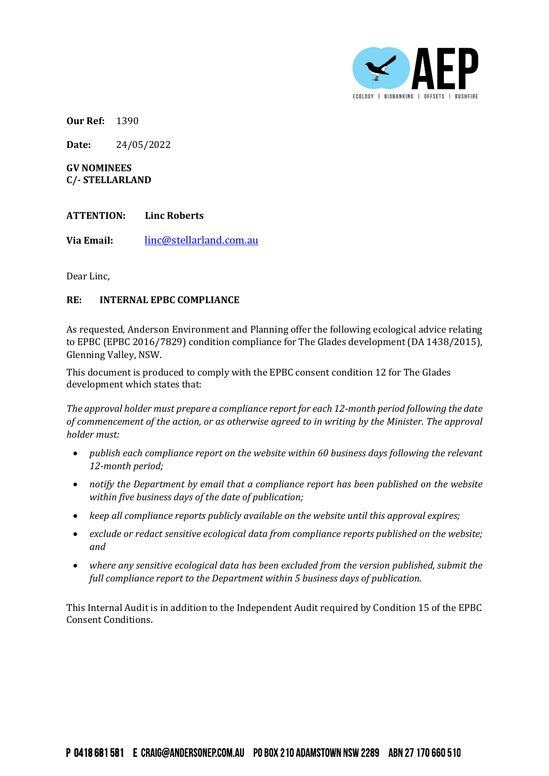

**Our Ref:** 1390

**Date:** 24/05/2022

**GV NOMINEES C/- STELLARLAND**

## **ATTENTION: Linc Roberts**

**Via Email:** [linc@stellarland.com.au](mailto:linc@stellarland.com.au)

Dear Linc,

## **RE: INTERNAL EPBC COMPLIANCE**

As requested, Anderson Environment and Planning offer the following ecological advice relating to EPBC (EPBC 2016/7829) condition compliance for The Glades development (DA 1438/2015), Glenning Valley, NSW.

This document is produced to comply with the EPBC consent condition 12 for The Glades development which states that:

*The approval holder must prepare a compliance report for each 12-month period following the date of commencement of the action, or as otherwise agreed to in writing by the Minister. The approval holder must:*

- *publish each compliance report on the website within 60 business days following the relevant 12-month period;*
- *notify the Department by email that a compliance report has been published on the website within five business days of the date of publication;*
- *keep all compliance reports publicly available on the website until this approval expires;*
- *exclude or redact sensitive ecological data from compliance reports published on the website; and*
- *where any sensitive ecological data has been excluded from the version published, submit the full compliance report to the Department within 5 business days of publication.*

This Internal Audit is in addition to the Independent Audit required by Condition 15 of the EPBC Consent Conditions.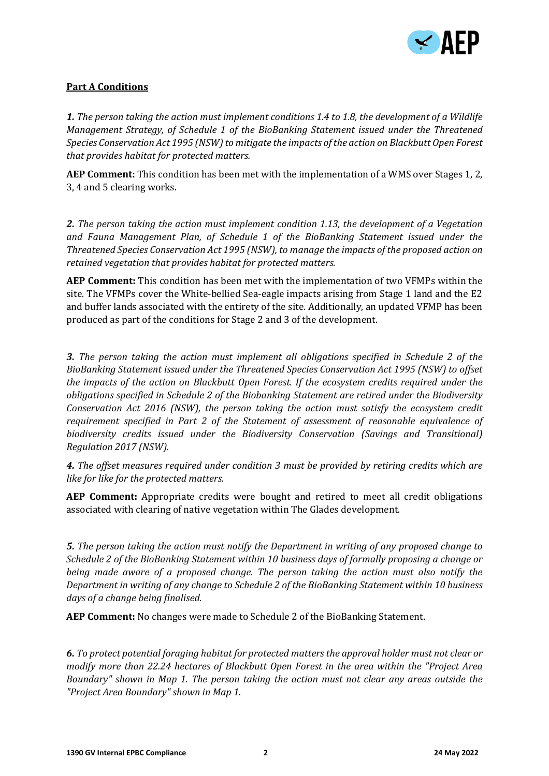

## **Part A Conditions**

*1. The person taking the action must implement conditions 1.4 to 1.8, the development of a Wildlife Management Strategy, of Schedule 1 of the BioBanking Statement issued under the Threatened Species Conservation Act 1995 (NSW) to mitigate the impacts of the action on Blackbutt Open Forest that provides habitat for protected matters.*

**AEP Comment:** This condition has been met with the implementation of a WMS over Stages 1, 2, 3, 4 and 5 clearing works.

*2. The person taking the action must implement condition 1.13, the development of a Vegetation and Fauna Management Plan, of Schedule 1 of the BioBanking Statement issued under the Threatened Species Conservation Act 1995 (NSW), to manage the impacts of the proposed action on retained vegetation that provides habitat for protected matters.*

**AEP Comment:** This condition has been met with the implementation of two VFMPs within the site. The VFMPs cover the White-bellied Sea-eagle impacts arising from Stage 1 land and the E2 and buffer lands associated with the entirety of the site. Additionally, an updated VFMP has been produced as part of the conditions for Stage 2 and 3 of the development.

*3. The person taking the action must implement all obligations specified in Schedule 2 of the BioBanking Statement issued under the Threatened Species Conservation Act 1995 (NSW) to offset the impacts of the action on Blackbutt Open Forest. If the ecosystem credits required under the obligations specified in Schedule 2 of the Biobanking Statement are retired under the Biodiversity Conservation Act 2016 (NSW), the person taking the action must satisfy the ecosystem credit requirement specified in Part 2 of the Statement of assessment of reasonable equivalence of biodiversity credits issued under the Biodiversity Conservation (Savings and Transitional) Regulation 2017 (NSW).*

*4. The offset measures required under condition 3 must be provided by retiring credits which are like for like for the protected matters.*

**AEP Comment:** Appropriate credits were bought and retired to meet all credit obligations associated with clearing of native vegetation within The Glades development.

*5. The person taking the action must notify the Department in writing of any proposed change to Schedule 2 of the BioBanking Statement within 10 business days of formally proposing a change or being made aware of a proposed change. The person taking the action must also notify the Department in writing of any change to Schedule 2 of the BioBanking Statement within 10 business days of a change being finalised.*

**AEP Comment:** No changes were made to Schedule 2 of the BioBanking Statement.

*6. To protect potential foraging habitat for protected matters the approval holder must not clear or modify more than 22.24 hectares of Blackbutt Open Forest in the area within the "Project Area Boundary" shown in Map 1. The person taking the action must not clear any areas outside the "Project Area Boundary" shown in Map 1.*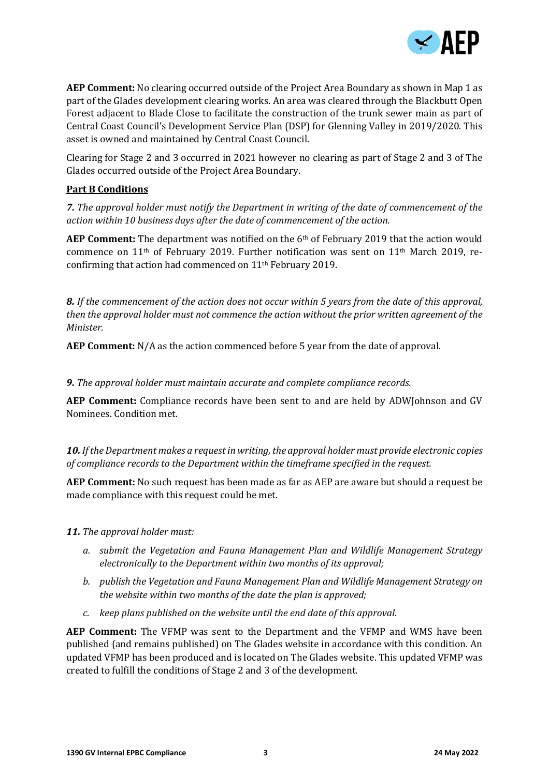

**AEP Comment:** No clearing occurred outside of the Project Area Boundary as shown in Map 1 as part of the Glades development clearing works. An area was cleared through the Blackbutt Open Forest adjacent to Blade Close to facilitate the construction of the trunk sewer main as part of Central Coast Council's Development Service Plan (DSP) for Glenning Valley in 2019/2020. This asset is owned and maintained by Central Coast Council.

Clearing for Stage 2 and 3 occurred in 2021 however no clearing as part of Stage 2 and 3 of The Glades occurred outside of the Project Area Boundary.

## **Part B Conditions**

*7. The approval holder must notify the Department in writing of the date of commencement of the action within 10 business days after the date of commencement of the action.*

**AEP Comment:** The department was notified on the 6th of February 2019 that the action would commence on 11th of February 2019. Further notification was sent on 11th March 2019, reconfirming that action had commenced on 11th February 2019.

*8. If the commencement of the action does not occur within 5 years from the date of this approval, then the approval holder must not commence the action without the prior written agreement of the Minister.*

**AEP Comment:** N/A as the action commenced before 5 year from the date of approval.

*9. The approval holder must maintain accurate and complete compliance records.*

**AEP Comment:** Compliance records have been sent to and are held by ADWJohnson and GV Nominees. Condition met.

*10. If the Department makes a request in writing, the approval holder must provide electronic copies of compliance records to the Department within the timeframe specified in the request.*

**AEP Comment:** No such request has been made as far as AEP are aware but should a request be made compliance with this request could be met.

*11. The approval holder must:*

- *a. submit the Vegetation and Fauna Management Plan and Wildlife Management Strategy electronically to the Department within two months of its approval;*
- *b. publish the Vegetation and Fauna Management Plan and Wildlife Management Strategy on the website within two months of the date the plan is approved;*
- *c. keep plans published on the website until the end date of this approval.*

**AEP Comment:** The VFMP was sent to the Department and the VFMP and WMS have been published (and remains published) on The Glades website in accordance with this condition. An updated VFMP has been produced and is located on The Glades website. This updated VFMP was created to fulfill the conditions of Stage 2 and 3 of the development.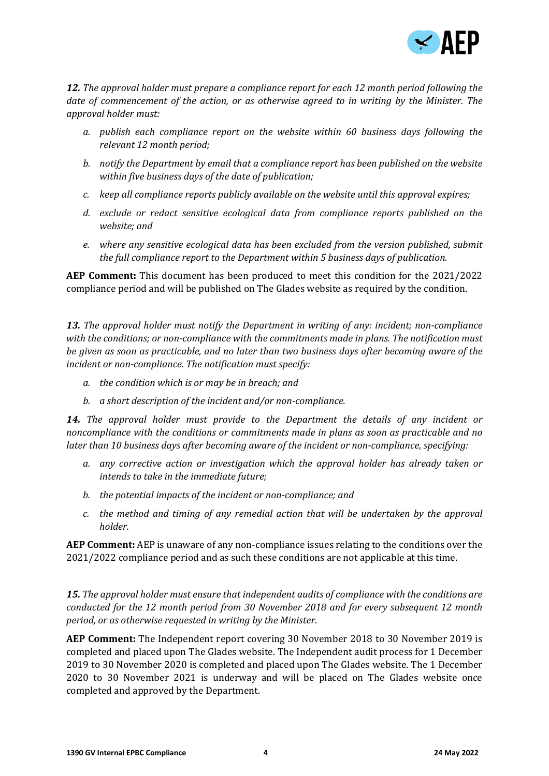

*12. The approval holder must prepare a compliance report for each 12 month period following the date of commencement of the action, or as otherwise agreed to in writing by the Minister. The approval holder must:*

- *a. publish each compliance report on the website within 60 business days following the relevant 12 month period;*
- *b. notify the Department by email that a compliance report has been published on the website within five business days of the date of publication;*
- *c. keep all compliance reports publicly available on the website until this approval expires;*
- *d. exclude or redact sensitive ecological data from compliance reports published on the website; and*
- *e. where any sensitive ecological data has been excluded from the version published, submit the full compliance report to the Department within 5 business days of publication.*

**AEP Comment:** This document has been produced to meet this condition for the 2021/2022 compliance period and will be published on The Glades website as required by the condition.

*13. The approval holder must notify the Department in writing of any: incident; non-compliance with the conditions; or non-compliance with the commitments made in plans. The notification must be given as soon as practicable, and no later than two business days after becoming aware of the incident or non-compliance. The notification must specify:*

- *a. the condition which is or may be in breach; and*
- *b. a short description of the incident and/or non-compliance.*

*14. The approval holder must provide to the Department the details of any incident or noncompliance with the conditions or commitments made in plans as soon as practicable and no later than 10 business days after becoming aware of the incident or non-compliance, specifying:*

- *a. any corrective action or investigation which the approval holder has already taken or intends to take in the immediate future;*
- *b. the potential impacts of the incident or non-compliance; and*
- *c. the method and timing of any remedial action that will be undertaken by the approval holder.*

**AEP Comment:** AEP is unaware of any non-compliance issues relating to the conditions over the 2021/2022 compliance period and as such these conditions are not applicable at this time.

*15. The approval holder must ensure that independent audits of compliance with the conditions are conducted for the 12 month period from 30 November 2018 and for every subsequent 12 month period, or as otherwise requested in writing by the Minister.*

**AEP Comment:** The Independent report covering 30 November 2018 to 30 November 2019 is completed and placed upon The Glades website. The Independent audit process for 1 December 2019 to 30 November 2020 is completed and placed upon The Glades website. The 1 December 2020 to 30 November 2021 is underway and will be placed on The Glades website once completed and approved by the Department.